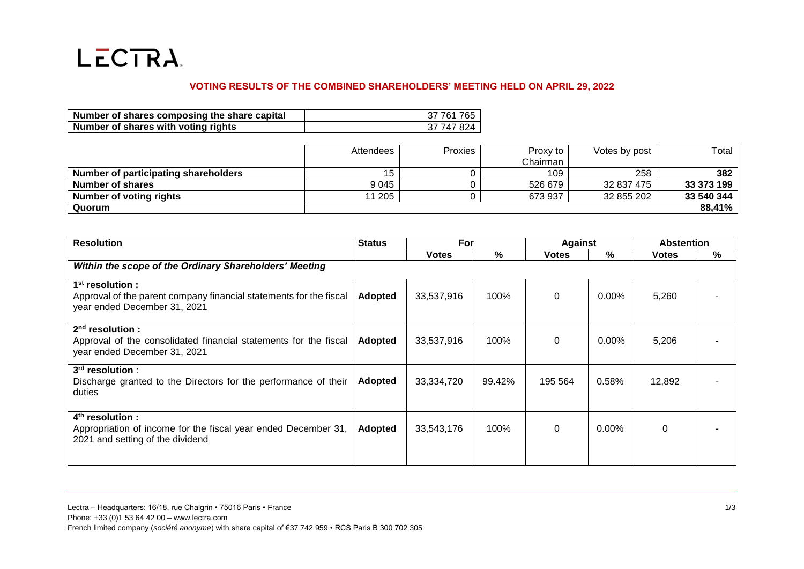

## **VOTING RESULTS OF THE COMBINED SHAREHOLDERS' MEETING HELD ON APRIL 29, 2022**

| Number of shares composing the share capital | 37 761 765 |
|----------------------------------------------|------------|
| Number of shares with voting rights          | 37 747 824 |

|                                      | Attendees | Proxies | Proxy to | Votes by post | Total      |
|--------------------------------------|-----------|---------|----------|---------------|------------|
|                                      |           |         | Chairman |               |            |
| Number of participating shareholders |           |         | 109      | 258           | 382        |
| Number of shares                     | 9 0 4 5   |         | 526 679  | 32 837 475    | 33 373 199 |
| <b>Number of voting rights</b>       | 11 205    |         | 673 937  | 32 855 202    | 33 540 344 |
| Quorum                               |           |         |          |               | 88,41%     |

| <b>Resolution</b>                                                                                                        | <b>Status</b>  | For          |        | Against      |          | <b>Abstention</b> |   |  |  |
|--------------------------------------------------------------------------------------------------------------------------|----------------|--------------|--------|--------------|----------|-------------------|---|--|--|
|                                                                                                                          |                | <b>Votes</b> | %      | <b>Votes</b> | $\%$     | <b>Votes</b>      | % |  |  |
| Within the scope of the Ordinary Shareholders' Meeting                                                                   |                |              |        |              |          |                   |   |  |  |
| $1st$ resolution :<br>Approval of the parent company financial statements for the fiscal<br>year ended December 31, 2021 | <b>Adopted</b> | 33,537,916   | 100%   | $\mathbf 0$  | 0.00%    | 5,260             |   |  |  |
| $2nd$ resolution :<br>Approval of the consolidated financial statements for the fiscal<br>year ended December 31, 2021   | <b>Adopted</b> | 33,537,916   | 100%   | $\mathbf{0}$ | $0.00\%$ | 5,206             |   |  |  |
| $3rd$ resolution :<br>Discharge granted to the Directors for the performance of their<br>duties                          | <b>Adopted</b> | 33,334,720   | 99.42% | 195 564      | 0.58%    | 12,892            |   |  |  |
| $4th$ resolution :<br>Appropriation of income for the fiscal year ended December 31,<br>2021 and setting of the dividend | <b>Adopted</b> | 33,543,176   | 100%   | $\Omega$     | $0.00\%$ | 0                 |   |  |  |

Lectra – Headquarters: 16/18, rue Chalgrin • 75016 Paris • France 1/3 Phone: +33 (0)1 53 64 42 00 – www.lectra.com French limited company (*société anonyme*) with share capital of €37 742 959 • RCS Paris B 300 702 305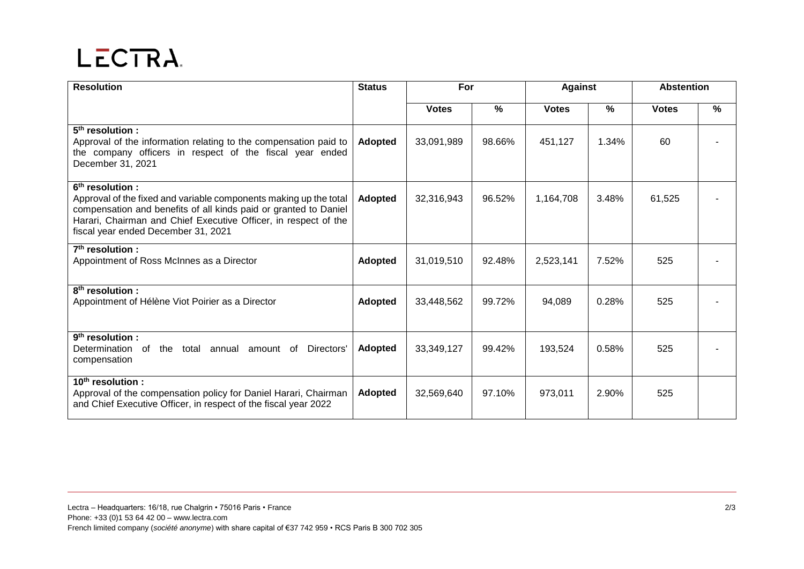## LECTRA.

| <b>Resolution</b>                                                                                                                                                                                                                                                              | <b>Status</b>  | For          |        | <b>Against</b> |       | <b>Abstention</b> |      |
|--------------------------------------------------------------------------------------------------------------------------------------------------------------------------------------------------------------------------------------------------------------------------------|----------------|--------------|--------|----------------|-------|-------------------|------|
|                                                                                                                                                                                                                                                                                |                | <b>Votes</b> | %      | <b>Votes</b>   | $\%$  | <b>Votes</b>      | $\%$ |
| 5 <sup>th</sup> resolution :<br>Approval of the information relating to the compensation paid to<br>the company officers in respect of the fiscal year ended<br>December 31, 2021                                                                                              | <b>Adopted</b> | 33,091,989   | 98.66% | 451,127        | 1.34% | 60                |      |
| 6 <sup>th</sup> resolution:<br>Approval of the fixed and variable components making up the total<br>compensation and benefits of all kinds paid or granted to Daniel<br>Harari, Chairman and Chief Executive Officer, in respect of the<br>fiscal year ended December 31, 2021 | <b>Adopted</b> | 32,316,943   | 96.52% | 1,164,708      | 3.48% | 61,525            |      |
| $7th$ resolution :<br>Appointment of Ross McInnes as a Director                                                                                                                                                                                                                | <b>Adopted</b> | 31,019,510   | 92.48% | 2,523,141      | 7.52% | 525               |      |
| $8th$ resolution :<br>Appointment of Hélène Viot Poirier as a Director                                                                                                                                                                                                         | <b>Adopted</b> | 33,448,562   | 99.72% | 94,089         | 0.28% | 525               |      |
| 9 <sup>th</sup> resolution:<br>Determination of<br>the<br>total<br>Directors'<br>annual<br>amount of<br>compensation                                                                                                                                                           | <b>Adopted</b> | 33,349,127   | 99.42% | 193,524        | 0.58% | 525               |      |
| $10th$ resolution :<br>Approval of the compensation policy for Daniel Harari, Chairman<br>and Chief Executive Officer, in respect of the fiscal year 2022                                                                                                                      | <b>Adopted</b> | 32,569,640   | 97.10% | 973,011        | 2.90% | 525               |      |